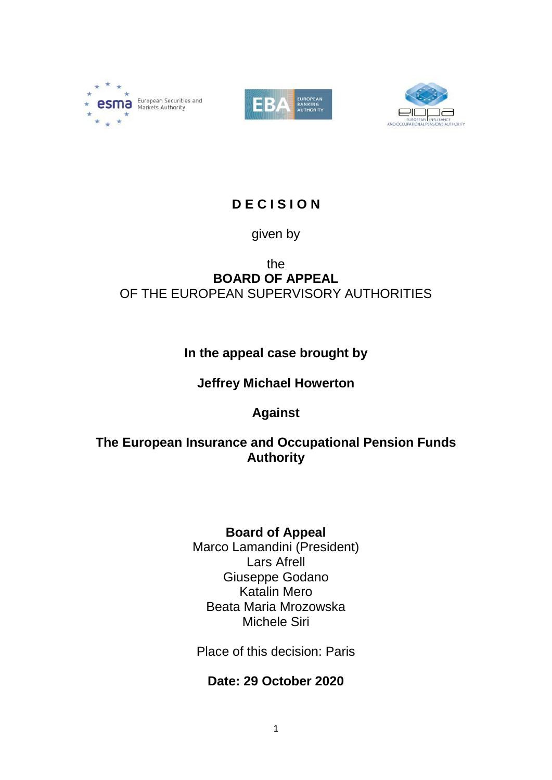





# **D E C I S I O N**

## given by

#### the **BOARD OF APPEAL** OF THE EUROPEAN SUPERVISORY AUTHORITIES

# **In the appeal case brought by**

## **Jeffrey Michael Howerton**

# **Against**

## **The European Insurance and Occupational Pension Funds Authority**

# **Board of Appeal**

Marco Lamandini (President) Lars Afrell Giuseppe Godano Katalin Mero Beata Maria Mrozowska Michele Siri

Place of this decision: Paris

## **Date: 29 October 2020**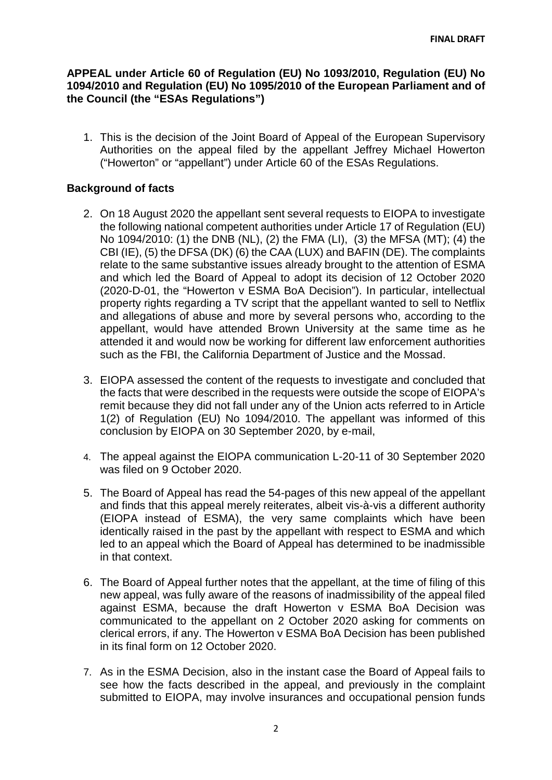#### **APPEAL under Article 60 of Regulation (EU) No 1093/2010, Regulation (EU) No 1094/2010 and Regulation (EU) No 1095/2010 of the European Parliament and of the Council (the "ESAs Regulations")**

1. This is the decision of the Joint Board of Appeal of the European Supervisory Authorities on the appeal filed by the appellant Jeffrey Michael Howerton ("Howerton" or "appellant") under Article 60 of the ESAs Regulations.

#### **Background of facts**

- 2. On 18 August 2020 the appellant sent several requests to EIOPA to investigate the following national competent authorities under Article 17 of Regulation (EU) No 1094/2010: (1) the DNB (NL), (2) the FMA (LI), (3) the MFSA (MT); (4) the CBI (IE), (5) the DFSA (DK) (6) the CAA (LUX) and BAFIN (DE). The complaints relate to the same substantive issues already brought to the attention of ESMA and which led the Board of Appeal to adopt its decision of 12 October 2020 (2020-D-01, the "Howerton v ESMA BoA Decision"). In particular, intellectual property rights regarding a TV script that the appellant wanted to sell to Netflix and allegations of abuse and more by several persons who, according to the appellant, would have attended Brown University at the same time as he attended it and would now be working for different law enforcement authorities such as the FBI, the California Department of Justice and the Mossad.
- 3. EIOPA assessed the content of the requests to investigate and concluded that the facts that were described in the requests were outside the scope of EIOPA's remit because they did not fall under any of the Union acts referred to in Article 1(2) of Regulation (EU) No 1094/2010. The appellant was informed of this conclusion by EIOPA on 30 September 2020, by e-mail,
- 4. The appeal against the EIOPA communication L-20-11 of 30 September 2020 was filed on 9 October 2020.
- 5. The Board of Appeal has read the 54-pages of this new appeal of the appellant and finds that this appeal merely reiterates, albeit vis-à-vis a different authority (EIOPA instead of ESMA), the very same complaints which have been identically raised in the past by the appellant with respect to ESMA and which led to an appeal which the Board of Appeal has determined to be inadmissible in that context.
- 6. The Board of Appeal further notes that the appellant, at the time of filing of this new appeal, was fully aware of the reasons of inadmissibility of the appeal filed against ESMA, because the draft Howerton v ESMA BoA Decision was communicated to the appellant on 2 October 2020 asking for comments on clerical errors, if any. The Howerton v ESMA BoA Decision has been published in its final form on 12 October 2020.
- 7. As in the ESMA Decision, also in the instant case the Board of Appeal fails to see how the facts described in the appeal, and previously in the complaint submitted to EIOPA, may involve insurances and occupational pension funds